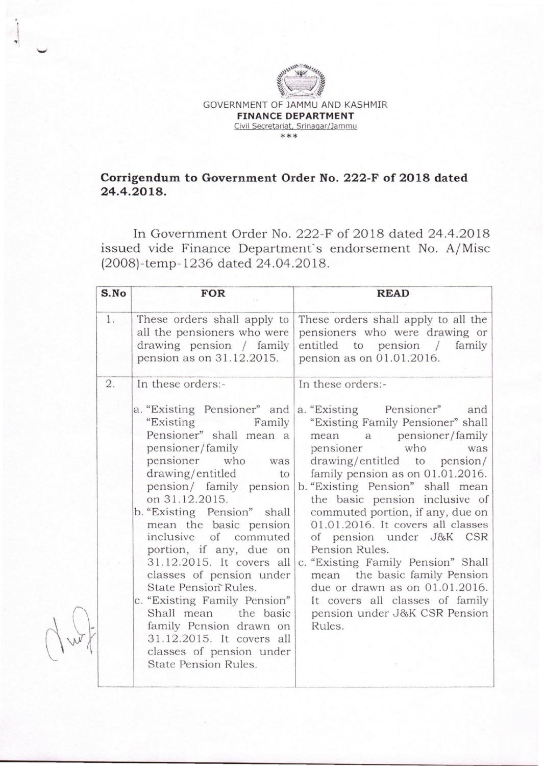

· I I "

## **Corrigendum to Government Order No. 222-F of 2018 dated 24.4.2018.**

**In** Government Order No. 222-F of 2018 dated 24.4.2018 issued vide Finance Department's endorsement No. A/Misc (2008)-temp-1236 dated 24.04.2018.

| S.No | <b>FOR</b>                                                                                                                                                                                                                                                                                                                                                                                                                                                                                                                                                                     | <b>READ</b>                                                                                                                                                                                                                                                                                                                                                                                                                                                                                                                                                                                         |  |
|------|--------------------------------------------------------------------------------------------------------------------------------------------------------------------------------------------------------------------------------------------------------------------------------------------------------------------------------------------------------------------------------------------------------------------------------------------------------------------------------------------------------------------------------------------------------------------------------|-----------------------------------------------------------------------------------------------------------------------------------------------------------------------------------------------------------------------------------------------------------------------------------------------------------------------------------------------------------------------------------------------------------------------------------------------------------------------------------------------------------------------------------------------------------------------------------------------------|--|
| 1.   | These orders shall apply to<br>all the pensioners who were<br>drawing pension / family<br>pension as on 31.12.2015.                                                                                                                                                                                                                                                                                                                                                                                                                                                            | These orders shall apply to all the<br>pensioners who were drawing or<br>entitled to pension /<br>family<br>pension as on 01.01.2016.                                                                                                                                                                                                                                                                                                                                                                                                                                                               |  |
| 2.   | In these orders:-<br>a. "Existing Pensioner" and<br>"Existing Family<br>Pensioner" shall mean a<br>pensioner/family<br>pensioner who was<br>drawing/entitled to<br>pension/ family pension<br>on 31.12.2015.<br>b. "Existing Pension" shall<br>mean the basic pension<br>inclusive of commuted<br>portion, if any, due on<br>31.12.2015. It covers all<br>classes of pension under<br>State Pension Rules.<br>c. "Existing Family Pension"<br>Shall mean the basic<br>family Pension drawn on<br>31.12.2015. It covers all<br>classes of pension under<br>State Pension Rules. | In these orders:-<br>a. "Existing Pensioner" and<br>"Existing Family Pensioner" shall<br>mean a pensioner/family<br>pensioner who<br>was<br>drawing/entitled to pension/<br>family pension as on 01.01.2016.<br>b. "Existing Pension" shall mean<br>the basic pension inclusive of<br>commuted portion, if any, due on<br>$01.01.2016$ . It covers all classes<br>of pension under J&K CSR<br>Pension Rules.<br>c. "Existing Family Pension" Shall<br>mean the basic family Pension<br>due or drawn as on 01.01.2016.<br>It covers all classes of family<br>pension under J&K CSR Pension<br>Rules. |  |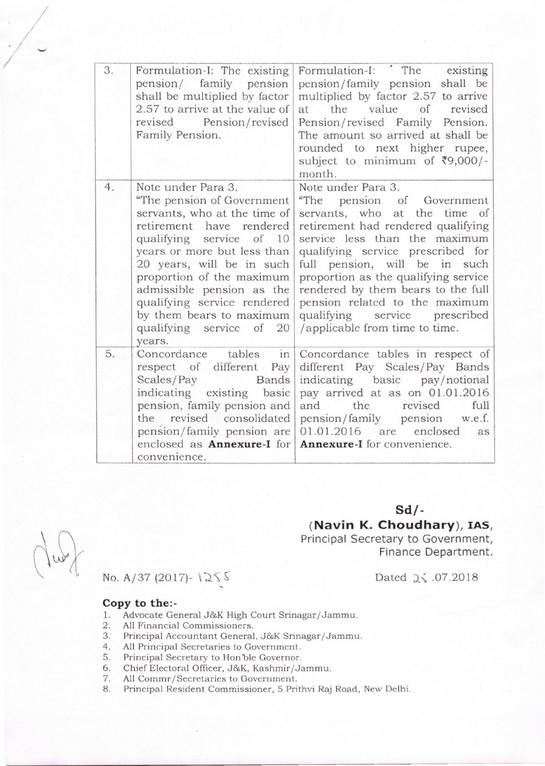| 3. | Formulation-I: The existing<br>pension/ family pension<br>shall be multiplied by factor<br>2.57 to arrive at the value of<br>revised Pension/revised<br>Family Pension.                                                                                                                                                                                         | Formulation-I: The<br>existing<br>pension/family pension shall be<br>multiplied by factor 2.57 to arrive<br>$\circ$ of<br>value<br>the<br>revised<br>at<br>Pension/revised Family Pension.<br>The amount so arrived at shall be<br>rounded to next higher rupee,<br>subject to minimum of ₹9,000/-<br>month.                                                                                                           |
|----|-----------------------------------------------------------------------------------------------------------------------------------------------------------------------------------------------------------------------------------------------------------------------------------------------------------------------------------------------------------------|------------------------------------------------------------------------------------------------------------------------------------------------------------------------------------------------------------------------------------------------------------------------------------------------------------------------------------------------------------------------------------------------------------------------|
| 4. | Note under Para 3.<br>"The pension of Government<br>servants, who at the time of<br>retirement have rendered<br>qualifying service of 10<br>years or more but less than<br>20 years, will be in such<br>proportion of the maximum<br>admissible pension as the<br>qualifying service rendered<br>by them bears to maximum<br>qualifying service of 20<br>years. | Note under Para 3.<br>"The<br>pension of Government<br>servants, who at the time of<br>retirement had rendered qualifying<br>service less than the maximum<br>qualifying service prescribed for<br>full pension, will be in such<br>proportion as the qualifying service<br>rendered by them bears to the full<br>pension related to the maximum<br>qualifying service<br>prescribed<br>/applicable from time to time. |
| 5. | tables<br>in<br>Concordance<br>respect of different Pay<br>Scales/Pay<br><b>Bands</b><br>indicating existing basic<br>pension, family pension and<br>the revised consolidated<br>pension/family pension are<br>enclosed as <b>Annexure-I</b> for<br>convenience.                                                                                                | Concordance tables in respect of<br>different Pay Scales/Pay Bands<br>indicating basic pay/notional<br>pay arrived at as on 01.01.2016<br>and<br>the<br>revised<br>full<br>pension/family pension w.e.f.<br>enclosed<br>01.01.2016 are<br>as<br>Annexure-I for convenience.                                                                                                                                            |

## **Sd/-**

## **(Navin K. Chaudhary), lAS,**

Principal Secretary to Government, Finance Department.

Dated  $2\leq .07.2018$ 

 $\text{No. A}/37 \text{ (2017)} - 1255$ 

## **Copy to the:-**

,/

- 1. Advocate General J&K High Court Srinagar/Jammu.<br>2. All Financial Commissioners.
- 2. All Financial Commissioners.<br>3. Principal Accountant General
- 3. Principal Accountant General, J&K Srinagar/Jammu.<br>4. All Principal Secretaries to Government.
- 4. All Principal Secretaries to *Government.*
- 5. Principal Secretary to Hori'ble Governor.
- 6. Chief Electoral Officer, J&K, Kashmir/Jammu.<br>7. All Commr/Secretaries to Government.
- 7. All Commr/Secretaries to Government.<br>8. Principal Resident Commissioner, 5 Pri
- 8. Principal Resident Commissioner, 5 Prithvi Raj Road, New Delhi.